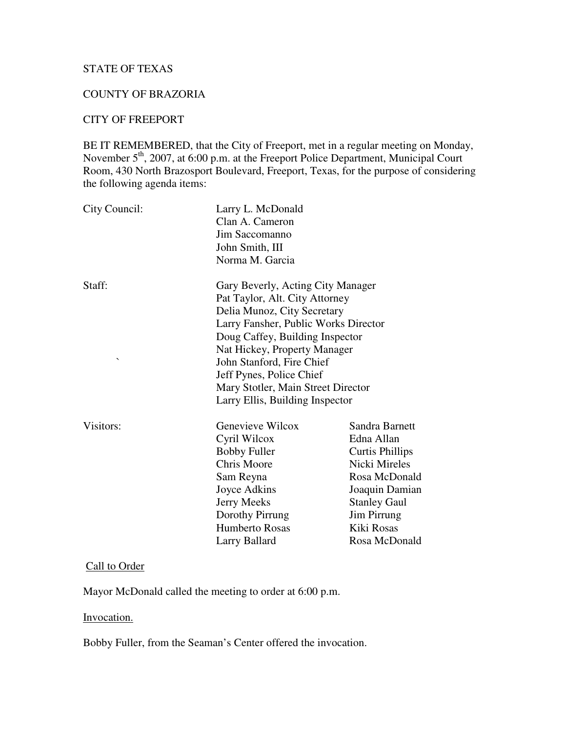# STATE OF TEXAS

#### COUNTY OF BRAZORIA

#### CITY OF FREEPORT

BE IT REMEMBERED, that the City of Freeport, met in a regular meeting on Monday, November 5<sup>th</sup>, 2007, at 6:00 p.m. at the Freeport Police Department, Municipal Court Room, 430 North Brazosport Boulevard, Freeport, Texas, for the purpose of considering the following agenda items:

| City Council:                      | Larry L. McDonald<br>Clan A. Cameron<br>Jim Saccomanno<br>John Smith, III<br>Norma M. Garcia                                                                                                                                                                                                                                                    |                                                                                                                                                                                 |
|------------------------------------|-------------------------------------------------------------------------------------------------------------------------------------------------------------------------------------------------------------------------------------------------------------------------------------------------------------------------------------------------|---------------------------------------------------------------------------------------------------------------------------------------------------------------------------------|
| Staff:<br>$\overline{\phantom{0}}$ | Gary Beverly, Acting City Manager<br>Pat Taylor, Alt. City Attorney<br>Delia Munoz, City Secretary<br>Larry Fansher, Public Works Director<br>Doug Caffey, Building Inspector<br>Nat Hickey, Property Manager<br>John Stanford, Fire Chief<br>Jeff Pynes, Police Chief<br>Mary Stotler, Main Street Director<br>Larry Ellis, Building Inspector |                                                                                                                                                                                 |
| Visitors:                          | Genevieve Wilcox<br>Cyril Wilcox<br><b>Bobby Fuller</b><br><b>Chris Moore</b><br>Sam Reyna<br>Joyce Adkins<br>Jerry Meeks<br>Dorothy Pirrung<br><b>Humberto Rosas</b><br>Larry Ballard                                                                                                                                                          | Sandra Barnett<br>Edna Allan<br><b>Curtis Phillips</b><br>Nicki Mireles<br>Rosa McDonald<br>Joaquin Damian<br><b>Stanley Gaul</b><br>Jim Pirrung<br>Kiki Rosas<br>Rosa McDonald |

# Call to Order

Mayor McDonald called the meeting to order at 6:00 p.m.

## Invocation.

Bobby Fuller, from the Seaman's Center offered the invocation.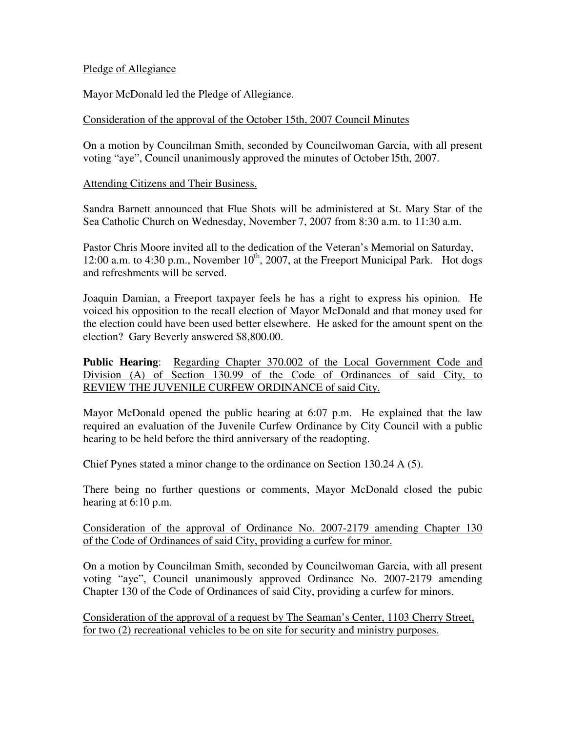## Pledge of Allegiance

Mayor McDonald led the Pledge of Allegiance.

## Consideration of the approval of the October 15th, 2007 Council Minutes

On a motion by Councilman Smith, seconded by Councilwoman Garcia, with all present voting "aye", Council unanimously approved the minutes of October l5th, 2007.

Attending Citizens and Their Business.

Sandra Barnett announced that Flue Shots will be administered at St. Mary Star of the Sea Catholic Church on Wednesday, November 7, 2007 from 8:30 a.m. to 11:30 a.m.

Pastor Chris Moore invited all to the dedication of the Veteran's Memorial on Saturday, 12:00 a.m. to 4:30 p.m., November  $10^{th}$ , 2007, at the Freeport Municipal Park. Hot dogs and refreshments will be served.

Joaquin Damian, a Freeport taxpayer feels he has a right to express his opinion. He voiced his opposition to the recall election of Mayor McDonald and that money used for the election could have been used better elsewhere. He asked for the amount spent on the election? Gary Beverly answered \$8,800.00.

**Public Hearing**: Regarding Chapter 370.002 of the Local Government Code and Division (A) of Section 130.99 of the Code of Ordinances of said City, to REVIEW THE JUVENILE CURFEW ORDINANCE of said City.

Mayor McDonald opened the public hearing at 6:07 p.m. He explained that the law required an evaluation of the Juvenile Curfew Ordinance by City Council with a public hearing to be held before the third anniversary of the readopting.

Chief Pynes stated a minor change to the ordinance on Section 130.24 A (5).

There being no further questions or comments, Mayor McDonald closed the pubic hearing at 6:10 p.m.

Consideration of the approval of Ordinance No. 2007-2179 amending Chapter 130 of the Code of Ordinances of said City, providing a curfew for minor.

On a motion by Councilman Smith, seconded by Councilwoman Garcia, with all present voting "aye", Council unanimously approved Ordinance No. 2007-2179 amending Chapter 130 of the Code of Ordinances of said City, providing a curfew for minors.

Consideration of the approval of a request by The Seaman's Center, 1103 Cherry Street, for two (2) recreational vehicles to be on site for security and ministry purposes.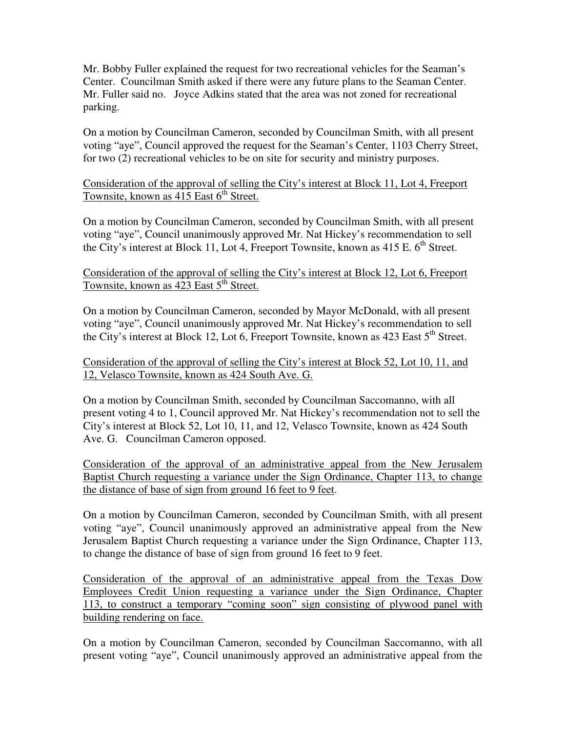Mr. Bobby Fuller explained the request for two recreational vehicles for the Seaman's Center. Councilman Smith asked if there were any future plans to the Seaman Center. Mr. Fuller said no. Joyce Adkins stated that the area was not zoned for recreational parking.

On a motion by Councilman Cameron, seconded by Councilman Smith, with all present voting "aye", Council approved the request for the Seaman's Center, 1103 Cherry Street, for two (2) recreational vehicles to be on site for security and ministry purposes.

Consideration of the approval of selling the City's interest at Block 11, Lot 4, Freeport Townsite, known as  $415$  East  $6<sup>th</sup>$  Street.

On a motion by Councilman Cameron, seconded by Councilman Smith, with all present voting "aye", Council unanimously approved Mr. Nat Hickey's recommendation to sell the City's interest at Block 11, Lot 4, Freeport Townsite, known as  $415$  E.  $6<sup>th</sup>$  Street.

Consideration of the approval of selling the City's interest at Block 12, Lot 6, Freeport Townsite, known as 423 East 5<sup>th</sup> Street.

On a motion by Councilman Cameron, seconded by Mayor McDonald, with all present voting "aye", Council unanimously approved Mr. Nat Hickey's recommendation to sell the City's interest at Block 12, Lot 6, Freeport Townsite, known as 423 East  $5<sup>th</sup>$  Street.

Consideration of the approval of selling the City's interest at Block 52, Lot 10, 11, and 12, Velasco Townsite, known as 424 South Ave. G.

On a motion by Councilman Smith, seconded by Councilman Saccomanno, with all present voting 4 to 1, Council approved Mr. Nat Hickey's recommendation not to sell the City's interest at Block 52, Lot 10, 11, and 12, Velasco Townsite, known as 424 South Ave. G. Councilman Cameron opposed.

Consideration of the approval of an administrative appeal from the New Jerusalem Baptist Church requesting a variance under the Sign Ordinance, Chapter 113, to change the distance of base of sign from ground 16 feet to 9 feet.

On a motion by Councilman Cameron, seconded by Councilman Smith, with all present voting "aye", Council unanimously approved an administrative appeal from the New Jerusalem Baptist Church requesting a variance under the Sign Ordinance, Chapter 113, to change the distance of base of sign from ground 16 feet to 9 feet.

Consideration of the approval of an administrative appeal from the Texas Dow Employees Credit Union requesting a variance under the Sign Ordinance, Chapter 113, to construct a temporary "coming soon" sign consisting of plywood panel with building rendering on face.

On a motion by Councilman Cameron, seconded by Councilman Saccomanno, with all present voting "aye", Council unanimously approved an administrative appeal from the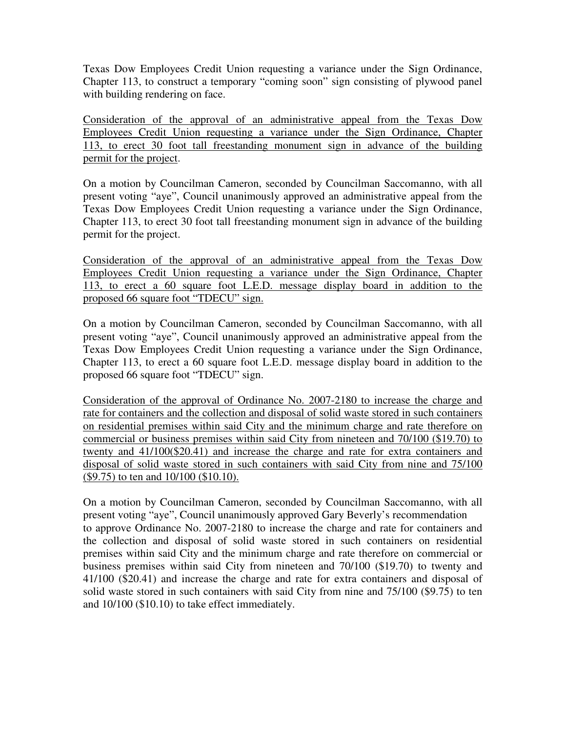Texas Dow Employees Credit Union requesting a variance under the Sign Ordinance, Chapter 113, to construct a temporary "coming soon" sign consisting of plywood panel with building rendering on face.

Consideration of the approval of an administrative appeal from the Texas Dow Employees Credit Union requesting a variance under the Sign Ordinance, Chapter 113, to erect 30 foot tall freestanding monument sign in advance of the building permit for the project.

On a motion by Councilman Cameron, seconded by Councilman Saccomanno, with all present voting "aye", Council unanimously approved an administrative appeal from the Texas Dow Employees Credit Union requesting a variance under the Sign Ordinance, Chapter 113, to erect 30 foot tall freestanding monument sign in advance of the building permit for the project.

Consideration of the approval of an administrative appeal from the Texas Dow Employees Credit Union requesting a variance under the Sign Ordinance, Chapter 113, to erect a 60 square foot L.E.D. message display board in addition to the proposed 66 square foot "TDECU" sign.

On a motion by Councilman Cameron, seconded by Councilman Saccomanno, with all present voting "aye", Council unanimously approved an administrative appeal from the Texas Dow Employees Credit Union requesting a variance under the Sign Ordinance, Chapter 113, to erect a 60 square foot L.E.D. message display board in addition to the proposed 66 square foot "TDECU" sign.

Consideration of the approval of Ordinance No. 2007-2180 to increase the charge and rate for containers and the collection and disposal of solid waste stored in such containers on residential premises within said City and the minimum charge and rate therefore on commercial or business premises within said City from nineteen and 70/100 (\$19.70) to twenty and 41/100(\$20.41) and increase the charge and rate for extra containers and disposal of solid waste stored in such containers with said City from nine and 75/100 (\$9.75) to ten and 10/100 (\$10.10).

On a motion by Councilman Cameron, seconded by Councilman Saccomanno, with all present voting "aye", Council unanimously approved Gary Beverly's recommendation to approve Ordinance No. 2007-2180 to increase the charge and rate for containers and the collection and disposal of solid waste stored in such containers on residential premises within said City and the minimum charge and rate therefore on commercial or business premises within said City from nineteen and 70/100 (\$19.70) to twenty and 41/100 (\$20.41) and increase the charge and rate for extra containers and disposal of solid waste stored in such containers with said City from nine and 75/100 (\$9.75) to ten and 10/100 (\$10.10) to take effect immediately.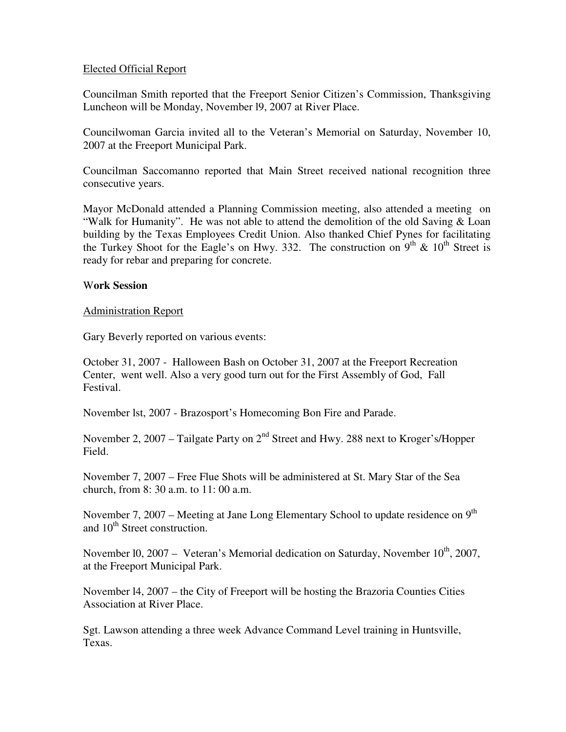# Elected Official Report

Councilman Smith reported that the Freeport Senior Citizen's Commission, Thanksgiving Luncheon will be Monday, November l9, 2007 at River Place.

Councilwoman Garcia invited all to the Veteran's Memorial on Saturday, November 10, 2007 at the Freeport Municipal Park.

Councilman Saccomanno reported that Main Street received national recognition three consecutive years.

Mayor McDonald attended a Planning Commission meeting, also attended a meeting on "Walk for Humanity". He was not able to attend the demolition of the old Saving & Loan building by the Texas Employees Credit Union. Also thanked Chief Pynes for facilitating the Turkey Shoot for the Eagle's on Hwy. 332. The construction on  $9<sup>th</sup> \& 10<sup>th</sup>$  Street is ready for rebar and preparing for concrete.

#### W**ork Session**

# Administration Report

Gary Beverly reported on various events:

October 31, 2007 - Halloween Bash on October 31, 2007 at the Freeport Recreation Center, went well. Also a very good turn out for the First Assembly of God, Fall Festival.

November lst, 2007 - Brazosport's Homecoming Bon Fire and Parade.

November 2, 2007 – Tailgate Party on  $2<sup>nd</sup>$  Street and Hwy. 288 next to Kroger's/Hopper Field.

November 7, 2007 – Free Flue Shots will be administered at St. Mary Star of the Sea church, from 8: 30 a.m. to 11: 00 a.m.

November 7, 2007 – Meeting at Jane Long Elementary School to update residence on  $9<sup>th</sup>$ and 10<sup>th</sup> Street construction.

November 10, 2007 – Veteran's Memorial dedication on Saturday, November  $10^{th}$ , 2007, at the Freeport Municipal Park.

November l4, 2007 – the City of Freeport will be hosting the Brazoria Counties Cities Association at River Place.

Sgt. Lawson attending a three week Advance Command Level training in Huntsville, Texas.